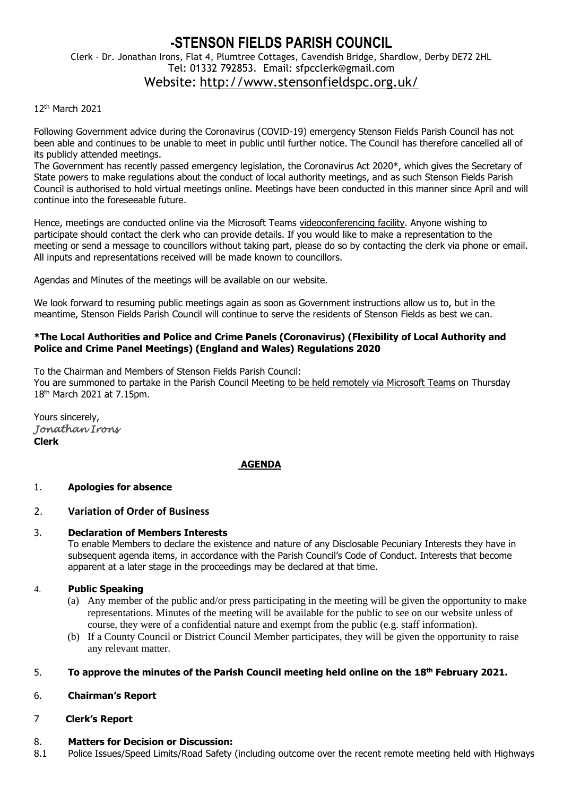# **-STENSON FIELDS PARISH COUNCIL** Clerk – Dr. Jonathan Irons, Flat 4, Plumtree Cottages, Cavendish Bridge, Shardlow, Derby DE72 2HL Tel: 01332 792853. Email: sfpcclerk@gmail.com Website: <http://www.stensonfieldspc.org.uk/>

#### 12th March 2021

Following Government advice during the Coronavirus (COVID-19) emergency Stenson Fields Parish Council has not been able and continues to be unable to meet in public until further notice. The Council has therefore cancelled all of its publicly attended meetings.

The Government has recently passed emergency legislation, the Coronavirus Act 2020\*, which gives the Secretary of State powers to make regulations about the conduct of local authority meetings, and as such Stenson Fields Parish Council is authorised to hold virtual meetings online. Meetings have been conducted in this manner since April and will continue into the foreseeable future.

Hence, meetings are conducted online via the Microsoft Teams videoconferencing facility. Anyone wishing to participate should contact the clerk who can provide details. If you would like to make a representation to the meeting or send a message to councillors without taking part, please do so by contacting the clerk via phone or email. All inputs and representations received will be made known to councillors.

Agendas and Minutes of the meetings will be available on our website.

We look forward to resuming public meetings again as soon as Government instructions allow us to, but in the meantime, Stenson Fields Parish Council will continue to serve the residents of Stenson Fields as best we can.

#### **\*The Local Authorities and Police and Crime Panels (Coronavirus) (Flexibility of Local Authority and Police and Crime Panel Meetings) (England and Wales) Regulations 2020**

To the Chairman and Members of Stenson Fields Parish Council:

You are summoned to partake in the Parish Council Meeting to be held remotely via Microsoft Teams on Thursday 18th March 2021 at 7.15pm.

Yours sincerely, *Jonathan Irons*  **Clerk**

### **AGENDA**

### 1. **Apologies for absence**

### 2. **Variation of Order of Business**

#### 3. **Declaration of Members Interests**

To enable Members to declare the existence and nature of any Disclosable Pecuniary Interests they have in subsequent agenda items, in accordance with the Parish Council's Code of Conduct. Interests that become apparent at a later stage in the proceedings may be declared at that time.

#### 4. **Public Speaking**

- (a) Any member of the public and/or press participating in the meeting will be given the opportunity to make representations. Minutes of the meeting will be available for the public to see on our website unless of course, they were of a confidential nature and exempt from the public (e.g. staff information).
- (b) If a County Council or District Council Member participates, they will be given the opportunity to raise any relevant matter.

#### 5. **To approve the minutes of the Parish Council meeting held online on the 18th February 2021.**

#### 6. **Chairman's Report**

### 7 **Clerk's Report**

#### 8. **Matters for Decision or Discussion:**

8.1 Police Issues/Speed Limits/Road Safety (including outcome over the recent remote meeting held with Highways